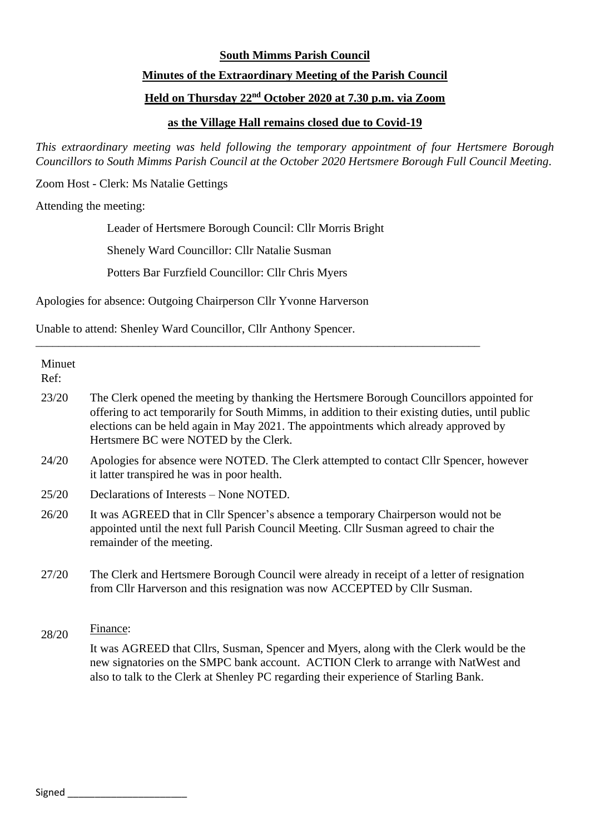# **South Mimms Parish Council Minutes of the Extraordinary Meeting of the Parish Council Held on Thursday 22nd October 2020 at 7.30 p.m. via Zoom**

## **as the Village Hall remains closed due to Covid-19**

*This extraordinary meeting was held following the temporary appointment of four Hertsmere Borough Councillors to South Mimms Parish Council at the October 2020 Hertsmere Borough Full Council Meeting.*

Zoom Host - Clerk: Ms Natalie Gettings

Attending the meeting:

Leader of Hertsmere Borough Council: Cllr Morris Bright

\_\_\_\_\_\_\_\_\_\_\_\_\_\_\_\_\_\_\_\_\_\_\_\_\_\_\_\_\_\_\_\_\_\_\_\_\_\_\_\_\_\_\_\_\_\_\_\_\_\_\_\_\_\_\_\_\_\_\_\_\_\_\_\_\_\_\_\_\_\_\_\_\_\_\_\_\_\_

Shenely Ward Councillor: Cllr Natalie Susman

Potters Bar Furzfield Councillor: Cllr Chris Myers

Apologies for absence: Outgoing Chairperson Cllr Yvonne Harverson

Unable to attend: Shenley Ward Councillor, Cllr Anthony Spencer.

| Minuet |                                                                                                                                                                                                                                                                                                                             |
|--------|-----------------------------------------------------------------------------------------------------------------------------------------------------------------------------------------------------------------------------------------------------------------------------------------------------------------------------|
| Ref:   |                                                                                                                                                                                                                                                                                                                             |
| 23/20  | The Clerk opened the meeting by thanking the Hertsmere Borough Councillors appointed for<br>offering to act temporarily for South Mimms, in addition to their existing duties, until public<br>elections can be held again in May 2021. The appointments which already approved by<br>Hertsmere BC were NOTED by the Clerk. |
| 24/20  | Apologies for absence were NOTED. The Clerk attempted to contact Cllr Spencer, however<br>it latter transpired he was in poor health.                                                                                                                                                                                       |
| 25/20  | Declarations of Interests – None NOTED.                                                                                                                                                                                                                                                                                     |
| 26/20  | It was AGREED that in Cllr Spencer's absence a temporary Chairperson would not be<br>appointed until the next full Parish Council Meeting. Cllr Susman agreed to chair the<br>remainder of the meeting.                                                                                                                     |
| 27/20  | The Clerk and Hertsmere Borough Council were already in receipt of a letter of resignation<br>from Cllr Harverson and this resignation was now ACCEPTED by Cllr Susman.                                                                                                                                                     |
| 28/20  | Finance:                                                                                                                                                                                                                                                                                                                    |
|        | It was AGREED that Cllrs, Susman, Spencer and Myers, along with the Clerk would be the<br>new signatories on the SMPC bank account. ACTION Clerk to arrange with NatWest and<br>also to talk to the Clerk at Shenley PC regarding their experience of Starling Bank.                                                        |